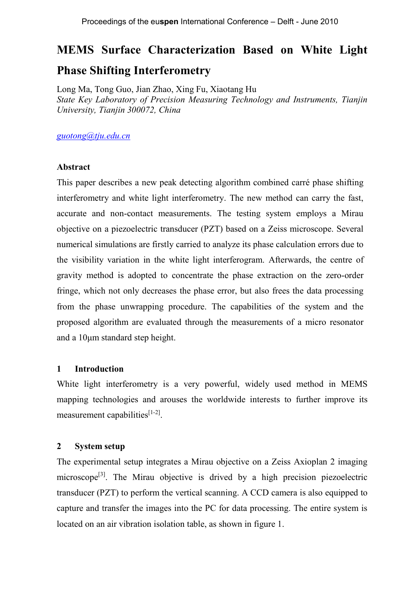# **MEMS Surface Characterization Based on White Light Phase Shifting Interferometry**

Long Ma, Tong Guo, Jian Zhao, Xing Fu, Xiaotang Hu *State Key Laboratory of Precision Measuring Technology and Instruments, Tianjin University, Tianjin 300072, China*

*guotong@tju.edu.cn*

## **Abstract**

This paper describes a new peak detecting algorithm combined carré phase shifting interferometry and white light interferometry. The new method can carry the fast, accurate and non-contact measurements. The testing system employs a Mirau objective on a piezoelectric transducer (PZT) based on a Zeiss microscope. Several numerical simulations are firstly carried to analyze its phase calculation errors due to the visibility variation in the white light interferogram. Afterwards, the centre of gravity method is adopted to concentrate the phase extraction on the zero-order fringe, which not only decreases the phase error, but also frees the data processing from the phase unwrapping procedure. The capabilities of the system and the proposed algorithm are evaluated through the measurements of a micro resonator and a 10μm standard step height.

# **1 Introduction**

White light interferometry is a very powerful, widely used method in MEMS mapping technologies and arouses the worldwide interests to further improve its measurement capabilities<sup>[1-2]</sup>.

## **2 System setup**

The experimental setup integrates a Mirau objective on a Zeiss Axioplan 2 imaging microscope<sup>[3]</sup>. The Mirau objective is drived by a high precision piezoelectric transducer (PZT) to perform the vertical scanning. A CCD camera is also equipped to capture and transfer the images into the PC for data processing. The entire system is located on an air vibration isolation table, as shown in figure 1.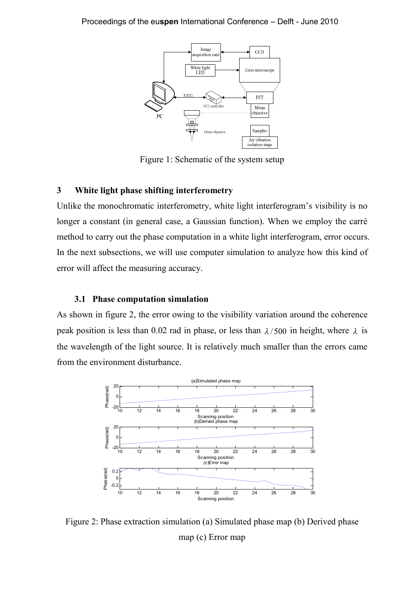

Figure 1: Schematic of the system setup

# **3 White light phase shifting interferometry**

Unlike the monochromatic interferometry, white light interferogram's visibility is no longer a constant (in general case, a Gaussian function). When we employ the carré method to carry out the phase computation in a white light interferogram, error occurs. In the next subsections, we will use computer simulation to analyze how this kind of error will affect the measuring accuracy.

#### **3.1 Phase computation simulation**

As shown in figure 2, the error owing to the visibility variation around the coherence peak position is less than 0.02 rad in phase, or less than  $\lambda$ /500 in height, where  $\lambda$  is the wavelength of the light source. It is relatively much smaller than the errors came from the environment disturbance.



Figure 2: Phase extraction simulation (a) Simulated phase map (b) Derived phase map (c) Error map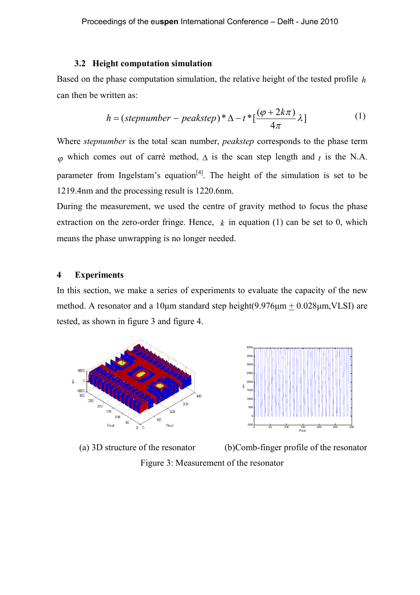#### **3.2 Height computation simulation**

Based on the phase computation simulation, the relative height of the tested profile *h* can then be written as:

$$
h = (step number - peakstep)*\Delta - t*[\frac{(\varphi + 2k\pi)}{4\pi}\lambda]
$$
 (1)

Where *stepnumber* is the total scan number, *peakstep* corresponds to the phase term  $\omega$  which comes out of carré method,  $\Delta$  is the scan step length and *t* is the N.A. parameter from Ingelstam's equation<sup>[4]</sup>. The height of the simulation is set to be 1219.4nm and the processing result is 1220.6nm.

During the measurement, we used the centre of gravity method to focus the phase extraction on the zero-order fringe. Hence,  $k$  in equation (1) can be set to 0, which means the phase unwrapping is no longer needed.

# **4 Experiments**

In this section, we make a series of experiments to evaluate the capacity of the new method. A resonator and a 10μm standard step height(9.976μm + 0.028μm,VLSI) are tested, as shown in figure 3 and figure 4.